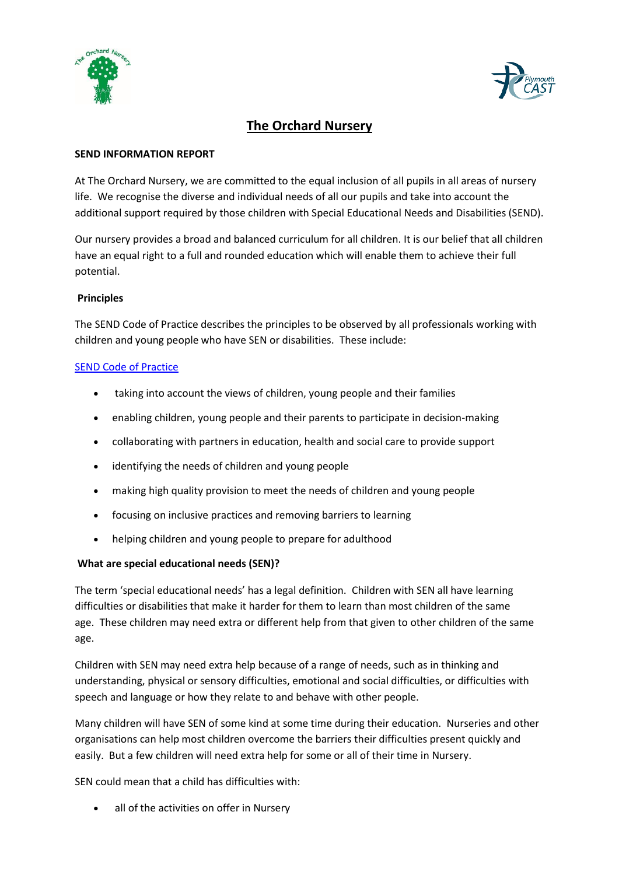



# **The Orchard Nursery**

#### **SEND INFORMATION REPORT**

At The Orchard Nursery, we are committed to the equal inclusion of all pupils in all areas of nursery life. We recognise the diverse and individual needs of all our pupils and take into account the additional support required by those children with Special Educational Needs and Disabilities (SEND).

Our nursery provides a broad and balanced curriculum for all children. It is our belief that all children have an equal right to a full and rounded education which will enable them to achieve their full potential.

# **Principles**

The SEND Code of Practice describes the principles to be observed by all professionals working with children and young people who have SEN or disabilities. These include:

# SEND [Code of Practice](https://assets.publishing.service.gov.uk/government/uploads/system/uploads/attachment_data/file/398815/SEND_Code_of_Practice_January_2015.pdf)

- taking into account the views of children, young people and their families
- enabling children, young people and their parents to participate in decision-making
- collaborating with partners in education, health and social care to provide support
- identifying the needs of children and young people
- making high quality provision to meet the needs of children and young people
- focusing on inclusive practices and removing barriers to learning
- helping children and young people to prepare for adulthood

# **What are special educational needs (SEN)?**

The term 'special educational needs' has a legal definition. Children with SEN all have learning difficulties or disabilities that make it harder for them to learn than most children of the same age. These children may need extra or different help from that given to other children of the same age.

Children with SEN may need extra help because of a range of needs, such as in thinking and understanding, physical or sensory difficulties, emotional and social difficulties, or difficulties with speech and language or how they relate to and behave with other people.

Many children will have SEN of some kind at some time during their education. Nurseries and other organisations can help most children overcome the barriers their difficulties present quickly and easily. But a few children will need extra help for some or all of their time in Nursery.

SEN could mean that a child has difficulties with:

all of the activities on offer in Nursery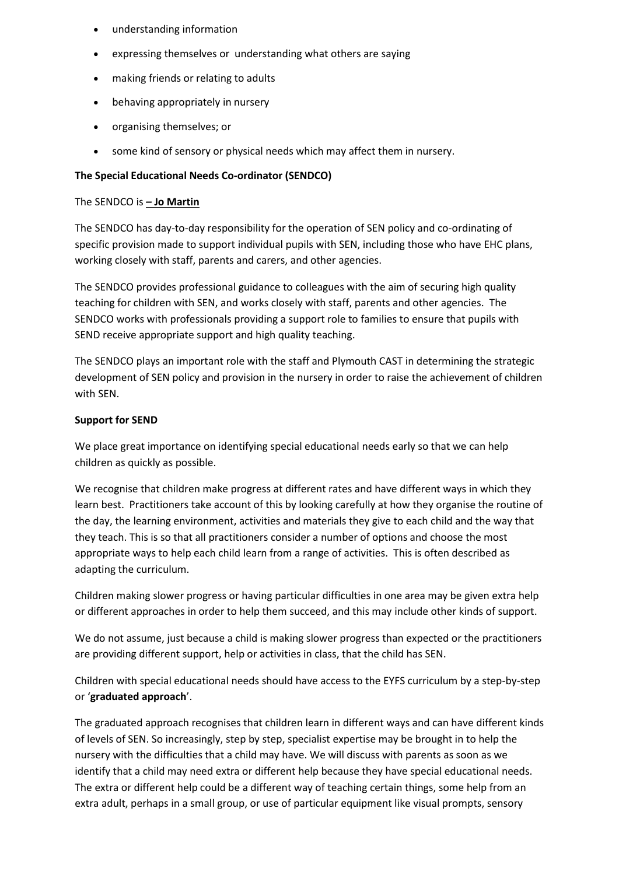- understanding information
- expressing themselves or understanding what others are saying
- making friends or relating to adults
- behaving appropriately in nursery
- organising themselves; or
- some kind of sensory or physical needs which may affect them in nursery.

# **The Special Educational Needs Co-ordinator (SENDCO)**

#### The SENDCO is *–* **Jo Martin**

The SENDCO has day-to-day responsibility for the operation of SEN policy and co-ordinating of specific provision made to support individual pupils with SEN, including those who have EHC plans, working closely with staff, parents and carers, and other agencies.

The SENDCO provides professional guidance to colleagues with the aim of securing high quality teaching for children with SEN, and works closely with staff, parents and other agencies. The SENDCO works with professionals providing a support role to families to ensure that pupils with SEND receive appropriate support and high quality teaching.

The SENDCO plays an important role with the staff and Plymouth CAST in determining the strategic development of SEN policy and provision in the nursery in order to raise the achievement of children with SEN.

# **Support for SEND**

We place great importance on identifying special educational needs early so that we can help children as quickly as possible.

We recognise that children make progress at different rates and have different ways in which they learn best. Practitioners take account of this by looking carefully at how they organise the routine of the day, the learning environment, activities and materials they give to each child and the way that they teach. This is so that all practitioners consider a number of options and choose the most appropriate ways to help each child learn from a range of activities. This is often described as adapting the curriculum.

Children making slower progress or having particular difficulties in one area may be given extra help or different approaches in order to help them succeed, and this may include other kinds of support.

We do not assume, just because a child is making slower progress than expected or the practitioners are providing different support, help or activities in class, that the child has SEN.

Children with special educational needs should have access to the EYFS curriculum by a step-by-step or '**graduated approach**'.

The graduated approach recognises that children learn in different ways and can have different kinds of levels of SEN. So increasingly, step by step, specialist expertise may be brought in to help the nursery with the difficulties that a child may have. We will discuss with parents as soon as we identify that a child may need extra or different help because they have special educational needs. The extra or different help could be a different way of teaching certain things, some help from an extra adult, perhaps in a small group, or use of particular equipment like visual prompts, sensory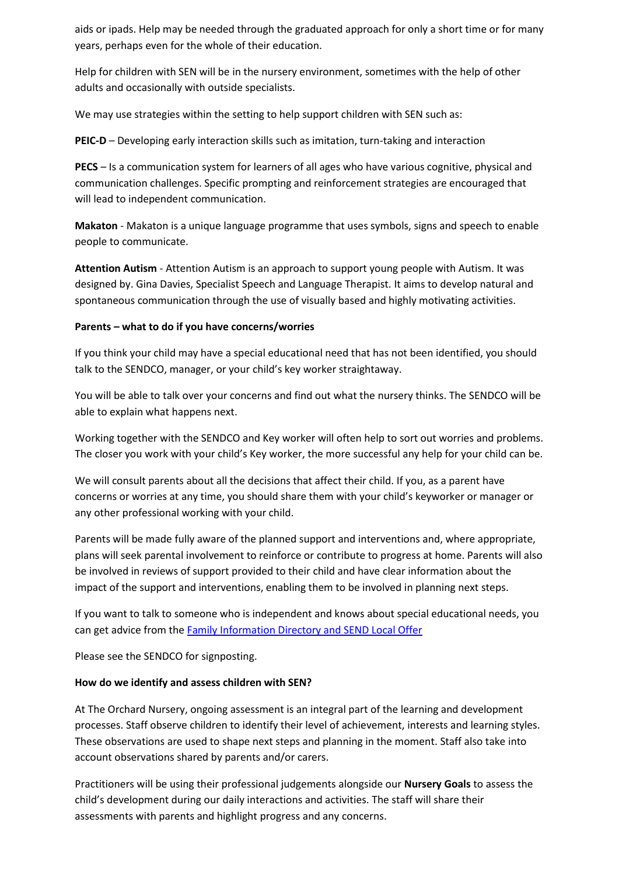aids or ipads. Help may be needed through the graduated approach for only a short time or for many years, perhaps even for the whole of their education.

Help for children with SEN will be in the nursery environment, sometimes with the help of other adults and occasionally with outside specialists.

We may use strategies within the setting to help support children with SEN such as:

**PEIC-D** – Developing early interaction skills such as imitation, turn-taking and interaction

**PECS** – Is a communication system for learners of all ages who have various cognitive, physical and communication challenges. Specific prompting and reinforcement strategies are encouraged that will lead to independent communication.

**Makaton** - Makaton is a unique language programme that uses symbols, signs and speech to enable people to communicate.

**Attention Autism** - Attention Autism is an approach to support young people with Autism. It was designed by. Gina Davies, Specialist Speech and Language Therapist. It aims to develop natural and spontaneous communication through the use of visually based and highly motivating activities.

# **Parents – what to do if you have concerns/worries**

If you think your child may have a special educational need that has not been identified, you should talk to the SENDCO, manager, or your child's key worker straightaway.

You will be able to talk over your concerns and find out what the nursery thinks. The SENDCO will be able to explain what happens next.

Working together with the SENDCO and Key worker will often help to sort out worries and problems. The closer you work with your child's Key worker, the more successful any help for your child can be.

We will consult parents about all the decisions that affect their child. If you, as a parent have concerns or worries at any time, you should share them with your child's keyworker or manager or any other professional working with your child.

Parents will be made fully aware of the planned support and interventions and, where appropriate, plans will seek parental involvement to reinforce or contribute to progress at home. Parents will also be involved in reviews of support provided to their child and have clear information about the impact of the support and interventions, enabling them to be involved in planning next steps.

If you want to talk to someone who is independent and knows about special educational needs, you can get advice from the Family Information Directory and SEND Local Offer

Please see the SENDCO for signposting.

#### **How do we identify and assess children with SEN?**

At The Orchard Nursery, ongoing assessment is an integral part of the learning and development processes. Staff observe children to identify their level of achievement, interests and learning styles. These observations are used to shape next steps and planning in the moment. Staff also take into account observations shared by parents and/or carers.

Practitioners will be using their professional judgements alongside our **Nursery Goals** to assess the child's development during our daily interactions and activities. The staff will share their assessments with parents and highlight progress and any concerns.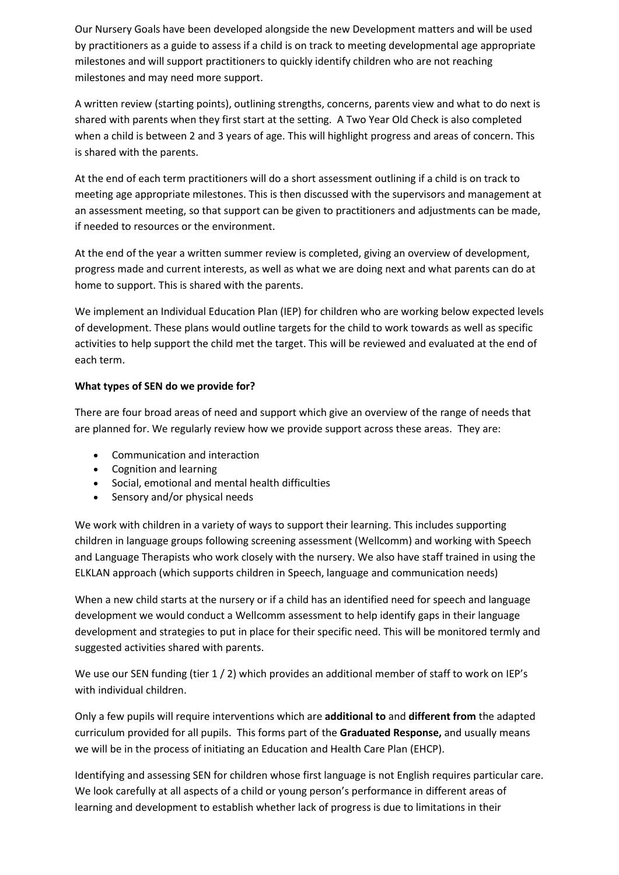Our Nursery Goals have been developed alongside the new Development matters and will be used by practitioners as a guide to assess if a child is on track to meeting developmental age appropriate milestones and will support practitioners to quickly identify children who are not reaching milestones and may need more support.

A written review (starting points), outlining strengths, concerns, parents view and what to do next is shared with parents when they first start at the setting. A Two Year Old Check is also completed when a child is between 2 and 3 years of age. This will highlight progress and areas of concern. This is shared with the parents.

At the end of each term practitioners will do a short assessment outlining if a child is on track to meeting age appropriate milestones. This is then discussed with the supervisors and management at an assessment meeting, so that support can be given to practitioners and adjustments can be made, if needed to resources or the environment.

At the end of the year a written summer review is completed, giving an overview of development, progress made and current interests, as well as what we are doing next and what parents can do at home to support. This is shared with the parents.

We implement an Individual Education Plan (IEP) for children who are working below expected levels of development. These plans would outline targets for the child to work towards as well as specific activities to help support the child met the target. This will be reviewed and evaluated at the end of each term.

# **What types of SEN do we provide for?**

There are four broad areas of need and support which give an overview of the range of needs that are planned for. We regularly review how we provide support across these areas. They are:

- Communication and interaction
- Cognition and learning
- Social, emotional and mental health difficulties
- Sensory and/or physical needs

We work with children in a variety of ways to support their learning. This includes supporting children in language groups following screening assessment (Wellcomm) and working with Speech and Language Therapists who work closely with the nursery. We also have staff trained in using the ELKLAN approach (which supports children in Speech, language and communication needs)

When a new child starts at the nursery or if a child has an identified need for speech and language development we would conduct a Wellcomm assessment to help identify gaps in their language development and strategies to put in place for their specific need. This will be monitored termly and suggested activities shared with parents.

We use our SEN funding (tier 1 / 2) which provides an additional member of staff to work on IEP's with individual children.

Only a few pupils will require interventions which are **additional to** and **different from** the adapted curriculum provided for all pupils. This forms part of the **Graduated Response,** and usually means we will be in the process of initiating an Education and Health Care Plan (EHCP).

Identifying and assessing SEN for children whose first language is not English requires particular care. We look carefully at all aspects of a child or young person's performance in different areas of learning and development to establish whether lack of progress is due to limitations in their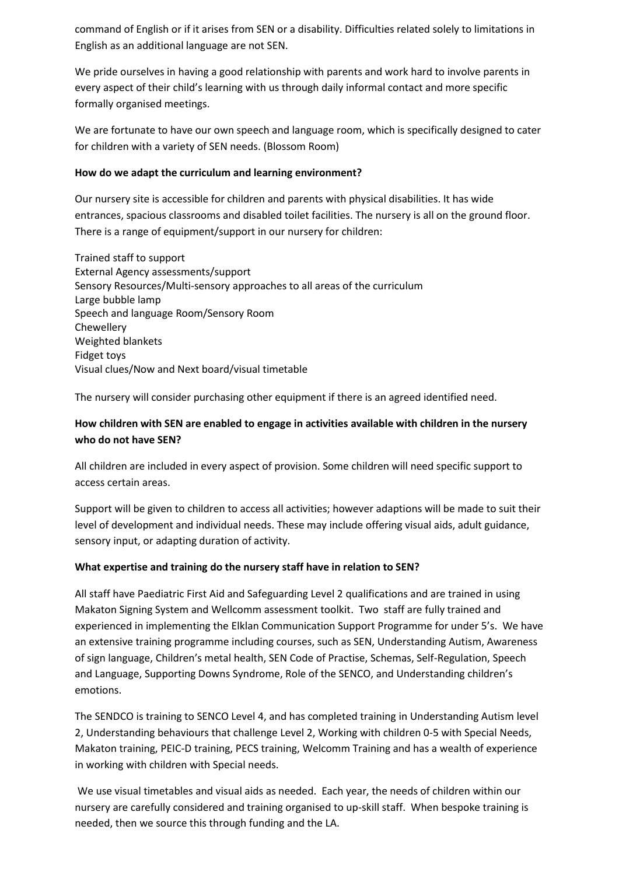command of English or if it arises from SEN or a disability. Difficulties related solely to limitations in English as an additional language are not SEN.

We pride ourselves in having a good relationship with parents and work hard to involve parents in every aspect of their child's learning with us through daily informal contact and more specific formally organised meetings.

We are fortunate to have our own speech and language room, which is specifically designed to cater for children with a variety of SEN needs. (Blossom Room)

# **How do we adapt the curriculum and learning environment?**

Our nursery site is accessible for children and parents with physical disabilities. It has wide entrances, spacious classrooms and disabled toilet facilities. The nursery is all on the ground floor. There is a range of equipment/support in our nursery for children:

Trained staff to support External Agency assessments/support Sensory Resources/Multi-sensory approaches to all areas of the curriculum Large bubble lamp Speech and language Room/Sensory Room Chewellery Weighted blankets Fidget toys Visual clues/Now and Next board/visual timetable

The nursery will consider purchasing other equipment if there is an agreed identified need.

# **How children with SEN are enabled to engage in activities available with children in the nursery who do not have SEN?**

All children are included in every aspect of provision. Some children will need specific support to access certain areas.

Support will be given to children to access all activities; however adaptions will be made to suit their level of development and individual needs. These may include offering visual aids, adult guidance, sensory input, or adapting duration of activity.

# **What expertise and training do the nursery staff have in relation to SEN?**

All staff have Paediatric First Aid and Safeguarding Level 2 qualifications and are trained in using Makaton Signing System and Wellcomm assessment toolkit. Two staff are fully trained and experienced in implementing the Elklan Communication Support Programme for under 5's. We have an extensive training programme including courses, such as SEN, Understanding Autism, Awareness of sign language, Children's metal health, SEN Code of Practise, Schemas, Self-Regulation, Speech and Language, Supporting Downs Syndrome, Role of the SENCO, and Understanding children's emotions.

The SENDCO is training to SENCO Level 4, and has completed training in Understanding Autism level 2, Understanding behaviours that challenge Level 2, Working with children 0-5 with Special Needs, Makaton training, PEIC-D training, PECS training, Welcomm Training and has a wealth of experience in working with children with Special needs.

We use visual timetables and visual aids as needed. Each year, the needs of children within our nursery are carefully considered and training organised to up-skill staff. When bespoke training is needed, then we source this through funding and the LA.